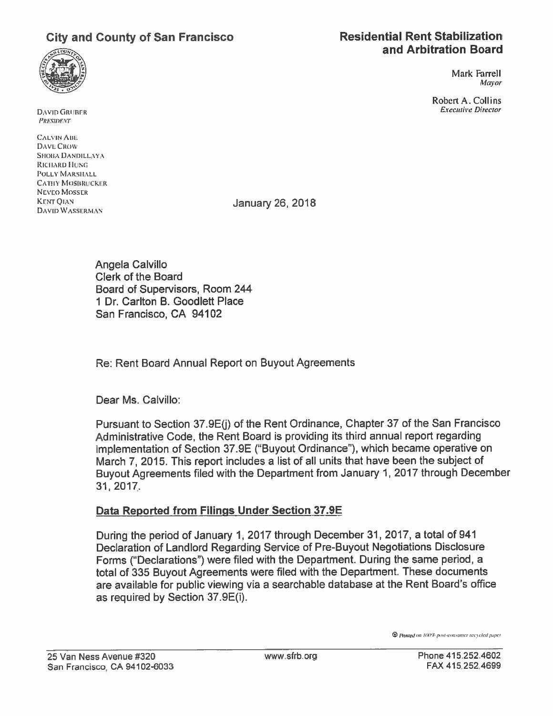# City and County of San Francisco



Mark Farrell Mayor

Robert A. Collins Executive Director

DAVID GRUBER PRESIDENT

**CALVIN ABE** DAVI: CROW SHOBA DANDILLAYA RICHARD HUNG POLLY MARSHALL CATHY MOSBRUCKER NEVEO MOSSER KENT OLAN DAVID WASSERMAN

January 26, 2018

Angela Calvillo Clerk of the Board Board of Supervisors, Room 244 1 Dr. Carlton B. Goodleff Place San Francisco, CA 94102

Re: Rent Board Annual Report on Buyout Agreements

Dear Ms. Calvillo:

Pursuant to Section 37.9E(i) of the Rent Ordinance, Chapter 37 of the San Francisco Administrative Code, the Rent Board is providing its third annual repor<sup>t</sup> regarding implementation of Section 37.9E ("Buyout Ordinance"), which became operative on March 7,2015. This repor<sup>t</sup> includes <sup>a</sup> list of all units that have been the subject of Buyout Agreements filed with the Department from January 1,2017 through December 31, 201Z.

### Data Reported from Filings Under Section 37.9E

During the period of January 1,2017 through December 31, 2017, <sup>a</sup> total of 941 Declaration of Landlord Regarding Service of Pre-Buyout Negotiations Disclosure Forms ("Declarations") were filed with the Department. During the same period, <sup>a</sup> total of <sup>335</sup> Buyout Agreements were filed with the Department. These documents are available for public viewing via <sup>a</sup> searchable database at the Rent Board's office as required by Section 37.9E(i).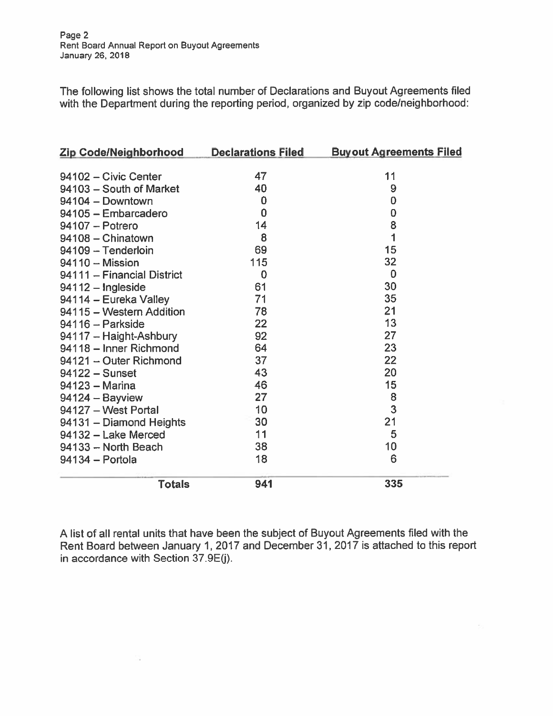The following list shows the total number of Declarations and Buyout Agreements filed with the Department during the reporting period, organized by zip code/neighborhood:

| <b>Zip Code/Neighborhood</b> | <b>Declarations Filed</b> | <b>Buyout Agreements Filed</b> |
|------------------------------|---------------------------|--------------------------------|
|                              |                           |                                |
| 94102 - Civic Center         | 47                        | 11                             |
| 94103 - South of Market      | 40                        | 9                              |
| 94104 - Downtown             | 0                         | $\bf{0}$                       |
| 94105 - Embarcadero          | 0                         | 0                              |
| 94107 - Potrero              | 14                        | 8                              |
| 94108 - Chinatown            | 8                         | 1                              |
| 94109 - Tenderloin           | 69                        | 15                             |
| 94110 - Mission              | 115                       | 32                             |
| 94111 - Financial District   | 0                         | $\mathbf 0$                    |
| 94112 - Ingleside            | 61                        | 30                             |
| 94114 - Eureka Valley        | 71                        | 35                             |
| 94115 - Western Addition     | 78                        | 21                             |
| $94116 -$ Parkside           | 22                        | 13                             |
| 94117 - Haight-Ashbury       | 92                        | 27                             |
| 94118 - Inner Richmond       | 64                        | 23                             |
| 94121 - Outer Richmond       | 37                        | 22                             |
| $94122 -$ Sunset             | 43                        | 20                             |
| 94123 - Marina               | 46                        | 15                             |
| $94124 - Bayview$            | 27                        | 8                              |
| 94127 - West Portal          | 10                        | 3                              |
| 94131 - Diamond Heights      | 30                        | 21                             |
| 94132 - Lake Merced          | 11                        | 5                              |
| 94133 - North Beach          | 38                        | 10                             |
| 94134 - Portola              | 18                        | 6                              |
| <b>Totals</b>                | 941                       | 335                            |

A list of all rental units that have been the subject of Buyout Agreements filed with the Rent Board between January 1, 2017 and December 31, 2017 is attached to this report in accordance with Section  $37.9E(j)$ .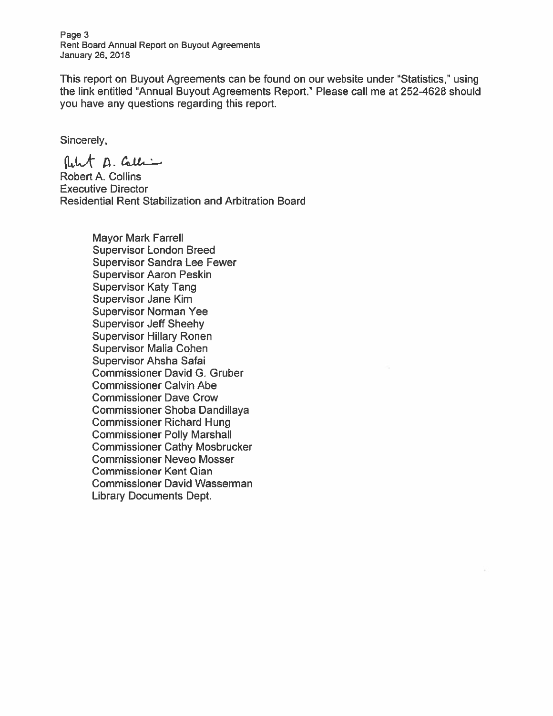Page 3 Rent Board Annual Report on Buyout Agreements January 26, 2018

This repor<sup>t</sup> on Buyout Agreements can be found on our website under "Statistics,' using the link entitled "Annual Buyout Agreements Report.' Please call me at 252-4628 should you have any questions regarding this report.

Sincerely,

flehat D. Calli

Robert A. Collins Executive Director Residential Rent Stabilization and Arbitration Board

> Mayor Mark Farrell Supervisor London Breed Supervisor Sandra Lee Fewer Supervisor Aaron Peskin Supervisor Katy Tang Supervisor Jane Kim Supervisor Norman Yee Supervisor Jeff Sheehy Supervisor Hillary Ronen Supervisor Malia Cohen Supervisor Ahsha Safai Commissioner David C. Gruber Commissioner Calvin Abe Commissioner Dave Crow Commissioner Shoba Dandillaya Commissioner Richard Hung Commissioner Polly Marshall Commissioner Cathy Mosbrucker Commissioner Neveo Mosser Commissioner Kent Qian Commissioner David Wasserman Library Documents Dept.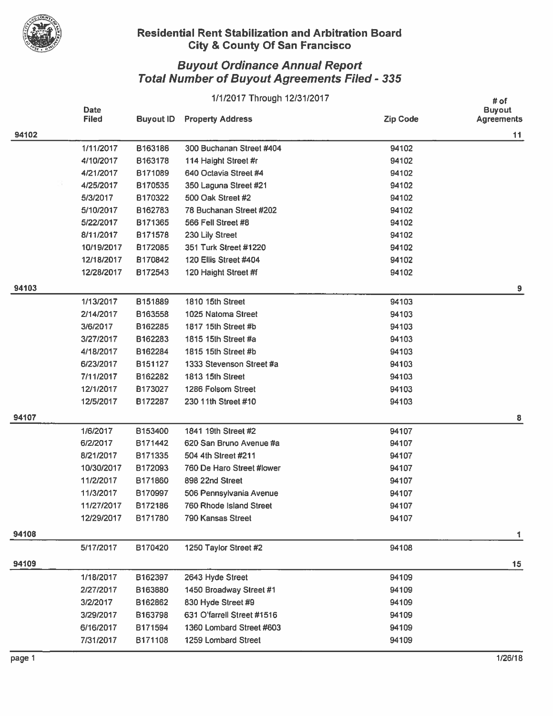

## uyout Ordinance Annual Report  $\boldsymbol{\mathsf{total}}$  Number of Buyout Agreements Filed - 335  $^-$

|       |                      | # of             |                            |                 |                                    |
|-------|----------------------|------------------|----------------------------|-----------------|------------------------------------|
|       | Date<br><b>Filed</b> | <b>Buyout ID</b> | <b>Property Address</b>    | <b>Zip Code</b> | <b>Buyout</b><br><b>Agreements</b> |
| 94102 |                      |                  |                            |                 | 11                                 |
|       | 1/11/2017            | B163186          | 300 Buchanan Street #404   | 94102           |                                    |
|       | 4/10/2017            | B163178          | 114 Haight Street #r       | 94102           |                                    |
|       | 4/21/2017            | B171089          | 640 Octavia Street #4      | 94102           |                                    |
|       | 4/25/2017            | B170535          | 350 Laguna Street #21      | 94102           |                                    |
|       | 5/3/2017             | B170322          | 500 Oak Street #2          | 94102           |                                    |
|       | 5/10/2017            | B162783          | 78 Buchanan Street #202    | 94102           |                                    |
|       | 5/22/2017            | B171365          | 566 Fell Street #8         | 94102           |                                    |
|       | 8/11/2017            | B171578          | 230 Lily Street            | 94102           |                                    |
|       | 10/19/2017           | B172085          | 351 Turk Street #1220      | 94102           |                                    |
|       | 12/18/2017           | B170842          | 120 Ellis Street #404      | 94102           |                                    |
|       | 12/28/2017           | B172543          | 120 Haight Street #f       | 94102           |                                    |
| 94103 |                      |                  |                            |                 | 9                                  |
|       | 1/13/2017            | B151889          | 1810 15th Street           | 94103           |                                    |
|       | 2/14/2017            | B163558          | 1025 Natoma Street         | 94103           |                                    |
|       | 3/6/2017             | B162285          | 1817 15th Street #b        | 94103           |                                    |
|       | 3/27/2017            | B162283          | 1815 15th Street #a        | 94103           |                                    |
|       | 4/18/2017            | B162284          | 1815 15th Street #b        | 94103           |                                    |
|       | 6/23/2017            | B151127          | 1333 Stevenson Street #a   | 94103           |                                    |
|       | 7/11/2017            | B162282          | 1813 15th Street           | 94103           |                                    |
|       | 12/1/2017            | B173027          | 1286 Folsom Street         | 94103           |                                    |
|       | 12/5/2017            | B172287          | 230 11th Street #10        | 94103           |                                    |
| 94107 |                      |                  |                            |                 | 8                                  |
|       | 1/6/2017             | B153400          | 1841 19th Street #2        | 94107           |                                    |
|       | 6/2/2017             | B171442          | 620 San Bruno Avenue #a    | 94107           |                                    |
|       | 8/21/2017            | B171335          | 504 4th Street #211        | 94107           |                                    |
|       | 10/30/2017           | B172093          | 760 De Haro Street #lower  | 94107           |                                    |
|       | 11/2/2017            | B171860          | 898 22nd Street            | 94107           |                                    |
|       | 11/3/2017            | B170997          | 506 Pennsylvania Avenue    | 94107           |                                    |
|       | 11/27/2017           | B172186          | 760 Rhode Island Street    | 94107           |                                    |
|       | 12/29/2017           | B171780          | 790 Kansas Street          | 94107           |                                    |
| 94108 |                      |                  |                            |                 | 1                                  |
|       | 5/17/2017            | B170420          | 1250 Taylor Street #2      | 94108           |                                    |
| 94109 |                      |                  |                            |                 | 15                                 |
|       | 1/18/2017            | B162397          | 2643 Hyde Street           | 94109           |                                    |
|       | 2/27/2017            | B163880          | 1450 Broadway Street #1    | 94109           |                                    |
|       | 3/2/2017             | B162862          | 830 Hyde Street #9         | 94109           |                                    |
|       | 3/29/2017            | B163798          | 631 O'farrell Street #1516 | 94109           |                                    |
|       | 6/16/2017            | B171594          | 1360 Lombard Street #603   | 94109           |                                    |
|       | 7/31/2017            | B171108          | 1259 Lombard Street        | 94109           |                                    |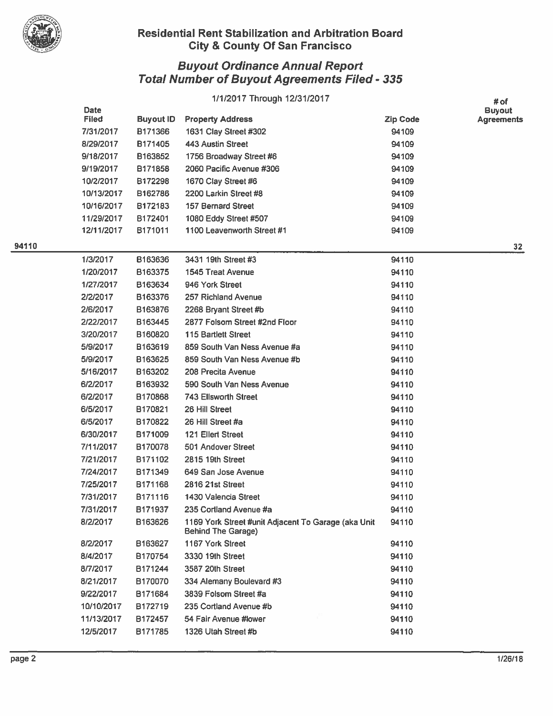

|     |                             |                  | 1/1/2017 Through 12/31/2017                                                      |                 | # of                               |
|-----|-----------------------------|------------------|----------------------------------------------------------------------------------|-----------------|------------------------------------|
|     | <b>Date</b><br><b>Filed</b> | <b>Buyout ID</b> | <b>Property Address</b>                                                          | <b>Zip Code</b> | <b>Buyout</b><br><b>Agreements</b> |
|     | 7/31/2017                   | B171366          | 1631 Clay Street #302                                                            | 94109           |                                    |
|     | 8/29/2017                   | B171405          | 443 Austin Street                                                                | 94109           |                                    |
|     | 9/18/2017                   | B163852          | 1756 Broadway Street #6                                                          | 94109           |                                    |
|     | 9/19/2017                   | B171858          | 2060 Pacific Avenue #306                                                         | 94109           |                                    |
|     | 10/2/2017                   | B172298          | 1670 Clay Street #6                                                              | 94109           |                                    |
|     | 10/13/2017                  | B162786          | 2200 Larkin Street #8                                                            | 94109           |                                    |
|     | 10/16/2017                  | B172183          | <b>157 Bernard Street</b>                                                        | 94109           |                                    |
|     | 11/29/2017                  | B172401          | 1080 Eddy Street #507                                                            | 94109           |                                    |
|     | 12/11/2017                  | B171011          | 1100 Leavenworth Street #1                                                       | 94109           |                                    |
| 110 |                             |                  |                                                                                  |                 | $32\phantom{a}$                    |
|     | 1/3/2017                    | B163636          | 3431 19th Street #3                                                              | 94110           |                                    |
|     | 1/20/2017                   | B163375          | 1545 Treat Avenue                                                                | 94110           |                                    |
|     | 1/27/2017                   | B163634          | 946 York Street                                                                  | 94110           |                                    |
|     | 2/2/2017                    | B163376          | 257 Richland Avenue                                                              | 94110           |                                    |
|     | 2/6/2017                    | B163876          | 2268 Bryant Street #b                                                            | 94110           |                                    |
|     | 2/22/2017                   | B163445          | 2877 Folsom Street #2nd Floor                                                    | 94110           |                                    |
|     | 3/20/2017                   | B160820          | <b>115 Bartlett Street</b>                                                       | 94110           |                                    |
|     | 5/9/2017                    | B163619          | 859 South Van Ness Avenue #a                                                     | 94110           |                                    |
|     | 5/9/2017                    | B163625          | 859 South Van Ness Avenue #b                                                     | 94110           |                                    |
|     | 5/16/2017                   | B163202          | 208 Precita Avenue                                                               | 94110           |                                    |
|     | 6/2/2017                    | B163932          | 590 South Van Ness Avenue                                                        | 94110           |                                    |
|     | 6/2/2017                    | B170868          | <b>743 Ellsworth Street</b>                                                      | 94110           |                                    |
|     | 6/5/2017                    | B170821          | 26 Hill Street                                                                   | 94110           |                                    |
|     | 6/5/2017                    | B170822          | 26 Hill Street #a                                                                | 94110           |                                    |
|     | 6/30/2017                   | B171009          | <b>121 Ellert Street</b>                                                         | 94110           |                                    |
|     | 7/11/2017                   | B170078          | 501 Andover Street                                                               | 94110           |                                    |
|     | 7/21/2017                   | B171102          | 2815 19th Street                                                                 | 94110           |                                    |
|     | 7/24/2017                   | B171349          | 649 San Jose Avenue                                                              | 94110           |                                    |
|     | 7/25/2017                   | B171168          | 2816 21st Street                                                                 | 94110           |                                    |
|     | 7/31/2017                   | B171116          | 1430 Valencia Street                                                             | 94110           |                                    |
|     | 7/31/2017                   | B171937          | 235 Cortland Avenue #a                                                           | 94110           |                                    |
|     | 8/2/2017                    | B163626          | 1169 York Street #unit Adjacent To Garage (aka Unit<br><b>Behind The Garage)</b> | 94110           |                                    |
|     | 8/2/2017                    | B163627          | 1167 York Street                                                                 | 94110           |                                    |
|     | 8/4/2017                    | B170754          | 3330 19th Street                                                                 | 94110           |                                    |
|     | 8/7/2017                    | B171244          | 3587 20th Street                                                                 | 94110           |                                    |
|     | 8/21/2017                   | B170070          | 334 Alemany Boulevard #3                                                         | 94110           |                                    |
|     | 9/22/2017                   | B171684          | 3839 Folsom Street #a                                                            | 94110           |                                    |
|     | 10/10/2017                  | B172719          | 235 Cortland Avenue #b                                                           | 94110           |                                    |
|     | 11/13/2017                  | B172457          | 54 Fair Avenue #lower                                                            | 94110           |                                    |
|     | 12/5/2017                   | B171785          | 1326 Utah Street #b                                                              | 94110           |                                    |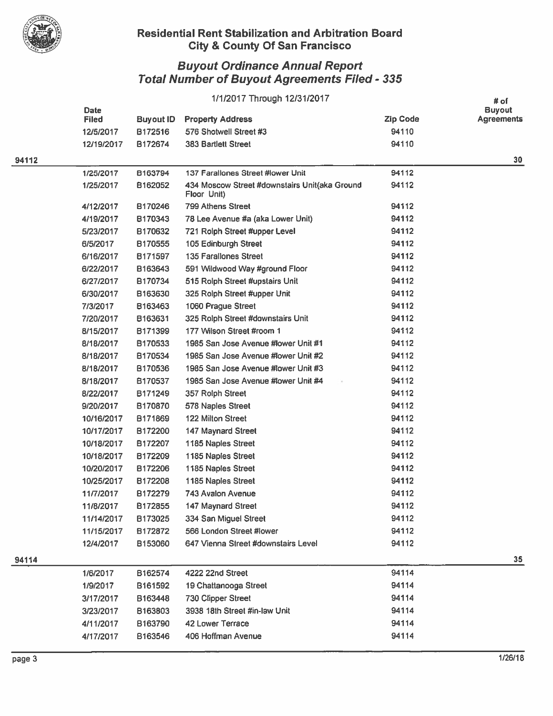

|       | 1/1/2017 Through 12/31/2017 |                  |                                                              |                 |                                            |
|-------|-----------------------------|------------------|--------------------------------------------------------------|-----------------|--------------------------------------------|
|       | <b>Date</b><br><b>Filed</b> | <b>Buyout ID</b> | <b>Property Address</b>                                      | <b>Zip Code</b> | # of<br><b>Buyout</b><br><b>Agreements</b> |
|       | 12/5/2017                   | B172516          | 576 Shotwell Street #3                                       | 94110           |                                            |
|       | 12/19/2017                  | B172674          | <b>383 Bartlett Street</b>                                   | 94110           |                                            |
| 94112 |                             |                  |                                                              |                 | 30                                         |
|       | 1/25/2017                   | B163794          | 137 Farallones Street #lower Unit                            | 94112           |                                            |
|       | 1/25/2017                   | B162052          | 434 Moscow Street #downstairs Unit(aka Ground<br>Floor Unit) | 94112           |                                            |
|       | 4/12/2017                   | B170246          | 799 Athens Street                                            | 94112           |                                            |
|       | 4/19/2017                   | B170343          | 78 Lee Avenue #a (aka Lower Unit)                            | 94112           |                                            |
|       | 5/23/2017                   | B170632          | 721 Rolph Street #upper Level                                | 94112           |                                            |
|       | 6/5/2017                    | B170555          | 105 Edinburgh Street                                         | 94112           |                                            |
|       | 6/16/2017                   | B171597          | 135 Farallones Street                                        | 94112           |                                            |
|       | 6/22/2017                   | B163643          | 591 Wildwood Way #ground Floor                               | 94112           |                                            |
|       | 6/27/2017                   | B170734          | 515 Rolph Street #upstairs Unit                              | 94112           |                                            |
|       | 6/30/2017                   | B163630          | 325 Rolph Street #upper Unit                                 | 94112           |                                            |
|       | 7/3/2017                    | B163463          | 1060 Prague Street                                           | 94112           |                                            |
|       | 7/20/2017                   | B163631          | 325 Rolph Street #downstairs Unit                            | 94112           |                                            |
|       | 8/15/2017                   | B171399          | 177 Wilson Street #room 1                                    | 94112           |                                            |
|       | 8/18/2017                   | B170533          | 1985 San Jose Avenue #lower Unit #1                          | 94112           |                                            |
|       | 8/18/2017                   | B170534          | 1985 San Jose Avenue #lower Unit #2                          | 94112           |                                            |
|       | 8/18/2017                   | B170536          | 1985 San Jose Avenue #lower Unit #3                          | 94112           |                                            |
|       | 8/18/2017                   | B170537          | 1985 San Jose Avenue #lower Unit #4                          | 94112           |                                            |
|       | 8/22/2017                   | B171249          | 357 Rolph Street                                             | 94112           |                                            |
|       | 9/20/2017                   | B170870          | 578 Naples Street                                            | 94112           |                                            |
|       | 10/16/2017                  | B171869          | 122 Milton Street                                            | 94112           |                                            |
|       | 10/17/2017                  | B172200          | 147 Maynard Street                                           | 94112           |                                            |
|       | 10/18/2017                  | B172207          | 1185 Naples Street                                           | 94112           |                                            |
|       | 10/18/2017                  | B172209          | 1185 Naples Street                                           | 94112           |                                            |
|       | 10/20/2017                  | B172206          | 1185 Naples Street                                           | 94112           |                                            |
|       | 10/25/2017                  | B172208          | 1185 Naples Street                                           | 94112           |                                            |
|       | 11/7/2017                   | B172279          | 743 Avalon Avenue                                            | 94112           |                                            |
|       | 11/8/2017                   | B172855          | 147 Maynard Street                                           | 94112           |                                            |
|       | 11/14/2017                  | B173025          | 334 San Miguel Street                                        | 94112           |                                            |
|       | 11/15/2017                  | B172872          | 566 London Street #lower                                     | 94112           |                                            |
|       | 12/4/2017                   | B153060          | 647 Vienna Street #downstairs Level                          | 94112           |                                            |
| 94114 |                             |                  |                                                              |                 | 35                                         |
|       | 1/6/2017                    | B162574          | 4222 22nd Street                                             | 94114           |                                            |
|       | 1/9/2017                    | B161592          | 19 Chattanooga Street                                        | 94114           |                                            |
|       | 3/17/2017                   | B163448          | 730 Clipper Street                                           | 94114           |                                            |
|       | 3/23/2017                   | B163803          | 3938 18th Street #in-law Unit                                | 94114           |                                            |
|       | 4/11/2017                   | B163790          | 42 Lower Terrace                                             | 94114           |                                            |
|       |                             | B163546          | 406 Hoffman Avenue                                           | 94114           |                                            |
|       | 4/17/2017                   |                  |                                                              |                 |                                            |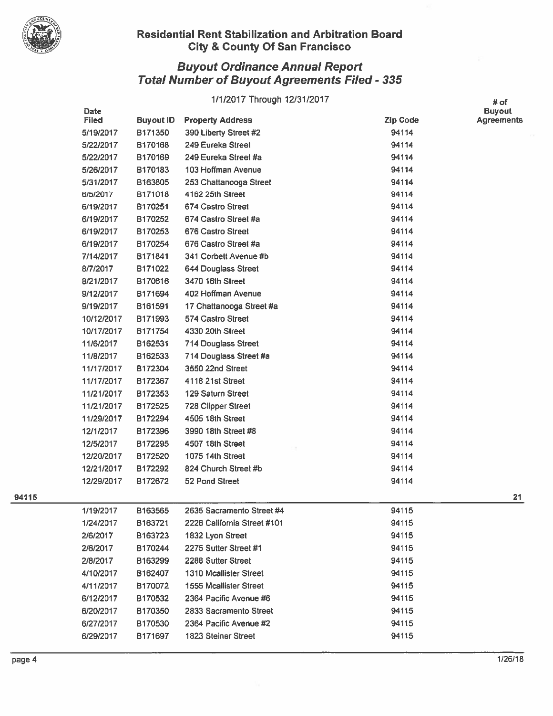

## Buyout Ordinance Annual Report Total Number of Buyout Agreements Filed - 335

# 1/1/2017 Through 12/31/2017 # of

|     | <b>Date</b>  |                     |                                                  |                 | <b>Buyout</b> |
|-----|--------------|---------------------|--------------------------------------------------|-----------------|---------------|
|     | <b>Filed</b> | <b>Buyout ID</b>    | <b>Property Address</b>                          | <b>Zip Code</b> | Agreements    |
|     | 5/19/2017    | B171350             | 390 Liberty Street #2                            | 94114           |               |
|     | 5/22/2017    | B170168             | 249 Eureka Street                                | 94114           |               |
|     | 5/22/2017    | B170169             | 249 Eureka Street #a                             | 94114           |               |
|     | 5/26/2017    | B170183             | 103 Hoffman Avenue                               | 94114           |               |
|     | 5/31/2017    | B163805             | 253 Chattanooga Street                           | 94114           |               |
|     | 6/5/2017     | B171018             | 4162 25th Street                                 | 94114           |               |
|     | 6/19/2017    | B170251             | 674 Castro Street                                | 94114           |               |
|     | 6/19/2017    | B170252             | 674 Castro Street #a                             | 94114           |               |
|     | 6/19/2017    | B170253             | 676 Castro Street                                | 94114           |               |
|     | 6/19/2017    | B170254             | 676 Castro Street #a                             | 94114           |               |
|     | 7/14/2017    | B171841             | 341 Corbett Avenue #b                            | 94114           |               |
|     | 8/7/2017     | B171022             | <b>644 Douglass Street</b>                       | 94114           |               |
|     | 8/21/2017    | B170616             | 3470 16th Street                                 | 94114           |               |
|     | 9/12/2017    | B171694             | 402 Hoffman Avenue                               | 94114           |               |
|     | 9/19/2017    | B161591             | 17 Chattanooga Street #a                         | 94114           |               |
|     | 10/12/2017   | B171993             | 574 Castro Street                                | 94114           |               |
|     | 10/17/2017   | B171754             | 4330 20th Street                                 | 94114           |               |
|     | 11/6/2017    | B162531             | 714 Douglass Street                              | 94114           |               |
|     | 11/8/2017    | B162533             | 714 Douglass Street #a                           | 94114           |               |
|     | 11/17/2017   | B172304             | 3550 22nd Street                                 | 94114           |               |
|     | 11/17/2017   | B172367             | 4118 21st Street                                 | 94114           |               |
|     | 11/21/2017   | B172353             | 129 Saturn Street                                | 94114           |               |
|     | 11/21/2017   | B172525             | <b>728 Clipper Street</b>                        | 94114           |               |
|     | 11/29/2017   | B172294             | 4505 18th Street                                 | 94114           |               |
|     | 12/1/2017    | B172396             | 3990 18th Street #8                              | 94114           |               |
|     | 12/5/2017    | B172295             | 4507 18th Street                                 | 94114           |               |
|     | 12/20/2017   | B172520             | 1075 14th Street                                 | 94114           |               |
|     | 12/21/2017   | B172292             | 824 Church Street #b                             | 94114           |               |
|     | 12/29/2017   | B172672             | 52 Pond Street                                   | 94114           |               |
| 115 |              |                     |                                                  |                 | 21            |
|     | 1/19/2017    | B163565             | 2635 Sacramento Street #4                        | 94115           |               |
|     | 1/24/2017    | B <sub>163721</sub> | 2226 California Street #101                      | 94115           |               |
|     | 2/6/2017     | B163723             | 1832 Lyon Street                                 | 94115           |               |
|     | 2/6/2017     | B170244             | 2275 Sutter Street #1                            | 94115           |               |
|     | 2/8/2017     | B163299             | 2288 Sutter Street                               | 94115           |               |
|     | 4/10/2017    | B <sub>162407</sub> | <b>1310 Mcallister Street</b>                    | 94115           |               |
|     | 4/11/2017    | B170072             | <b>1555 Mcallister Street</b>                    | 94115           |               |
|     |              | B170532             | 2364 Pacific Avenue #6                           | 94115           |               |
|     | 6/12/2017    |                     |                                                  |                 |               |
|     | 6/20/2017    | B170350             | 2833 Sacramento Street<br>2364 Pacific Avenue #2 | 94115           |               |
|     | 6/27/2017    | B170530             |                                                  | 94115           |               |
|     | 6/29/2017    | B171697             | 1823 Steiner Street                              | 94115           |               |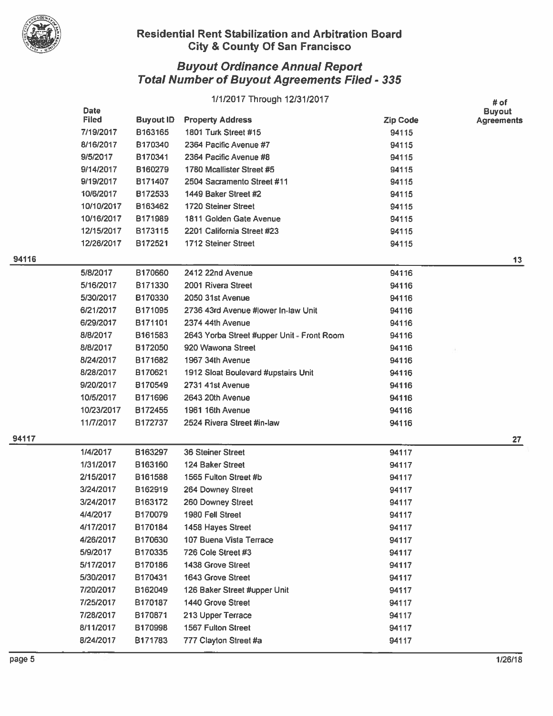

|       |              |                  | 1/1/2017 Through 12/31/2017                |                 | # of              |
|-------|--------------|------------------|--------------------------------------------|-----------------|-------------------|
|       | <b>Date</b>  |                  |                                            |                 | <b>Buyout</b>     |
|       | <b>Filed</b> | <b>Buyout ID</b> | <b>Property Address</b>                    | <b>Zip Code</b> | <b>Agreements</b> |
|       | 7/19/2017    | B163165          | 1801 Turk Street #15                       | 94115           |                   |
|       | 8/16/2017    | B170340          | 2364 Pacific Avenue #7                     | 94115           |                   |
|       | 9/5/2017     | B170341          | 2364 Pacific Avenue #8                     | 94115           |                   |
|       | 9/14/2017    | B160279          | 1780 Mcallister Street #5                  | 94115           |                   |
|       | 9/19/2017    | B171407          | 2504 Sacramento Street #11                 | 94115           |                   |
|       | 10/6/2017    | B172533          | 1449 Baker Street #2                       | 94115           |                   |
|       | 10/10/2017   | B163462          | <b>1720 Steiner Street</b>                 | 94115           |                   |
|       | 10/16/2017   | B171989          | 1811 Golden Gate Avenue                    | 94115           |                   |
|       | 12/15/2017   | B173115          | 2201 California Street #23                 | 94115           |                   |
|       | 12/26/2017   | B172521          | 1712 Steiner Street                        | 94115           |                   |
| 94116 |              |                  |                                            |                 | 13                |
|       | 5/8/2017     | B170660          | 2412 22nd Avenue                           | 94116           |                   |
|       | 5/16/2017    | B171330          | 2001 Rivera Street                         | 94116           |                   |
|       | 5/30/2017    | B170330          | 2050 31st Avenue                           | 94116           |                   |
|       | 6/21/2017    | B171095          | 2736 43rd Avenue #lower In-law Unit        | 94116           |                   |
|       | 6/29/2017    | B171101          | 2374 44th Avenue                           | 94116           |                   |
|       | 8/8/2017     | B161583          | 2643 Yorba Street #upper Unit - Front Room | 94116           |                   |
|       | 8/8/2017     | B172050          | 920 Wawona Street                          | 94116           |                   |
|       | 8/24/2017    | B171682          | 1967 34th Avenue                           | 94116           |                   |
|       | 8/28/2017    | B170621          | 1912 Sloat Boulevard #upstairs Unit        | 94116           |                   |
|       | 9/20/2017    | B170549          | 2731 41st Avenue                           | 94116           |                   |
|       | 10/5/2017    | B171696          | 2643 20th Avenue                           | 94116           |                   |
|       | 10/23/2017   | B172455          | 1961 16th Avenue                           | 94116           |                   |
|       | 11/7/2017    | B172737          | 2524 Rivera Street #in-law                 | 94116           |                   |
| 94117 |              |                  |                                            |                 | 27                |
|       | 1/4/2017     | B163297          | <b>36 Steiner Street</b>                   | 94117           |                   |
|       | 1/31/2017    | B163160          | 124 Baker Street                           | 94117           |                   |
|       | 2/15/2017    | B161588          | 1565 Fulton Street #b                      | 94117           |                   |
|       | 3/24/2017    | B162919          | 264 Downey Street                          | 94117           |                   |
|       | 3/24/2017    | B163172          | 260 Downey Street                          | 94117           |                   |
|       | 4/4/2017     | B170079          | 1980 Fell Street                           | 94117           |                   |
|       | 4/17/2017    | B170184          | 1458 Hayes Street                          | 94117           |                   |
|       | 4/26/2017    | B170630          | 107 Buena Vista Terrace                    | 94117           |                   |
|       | 5/9/2017     | B170335          | 726 Cole Street #3                         | 94117           |                   |
|       | 5/17/2017    | B170186          | 1438 Grove Street                          | 94117           |                   |
|       | 5/30/2017    | B170431          | 1643 Grove Street                          | 94117           |                   |
|       | 7/20/2017    | B162049          | 126 Baker Street #upper Unit               | 94117           |                   |
|       | 7/25/2017    | B170187          | 1440 Grove Street                          | 94117           |                   |
|       | 7/28/2017    | B170871          | 213 Upper Terrace                          | 94117           |                   |
|       | 8/11/2017    | B170998          | 1567 Fulton Street                         | 94117           |                   |
|       | 8/24/2017    | B171783          | 777 Clayton Street #a                      | 94117           |                   |
|       |              |                  |                                            |                 |                   |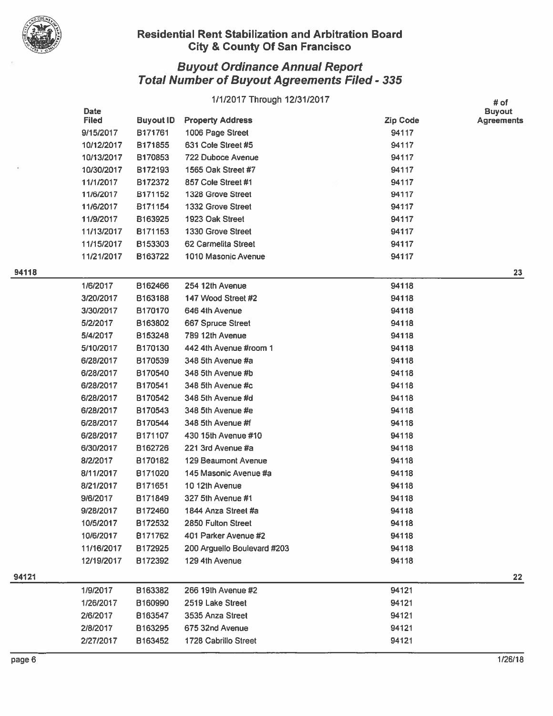

|     |                      |                  | 1/1/2017 Through 12/31/2017 |                 | # of                        |
|-----|----------------------|------------------|-----------------------------|-----------------|-----------------------------|
|     | Date<br><b>Filed</b> | <b>Buyout ID</b> | <b>Property Address</b>     | <b>Zip Code</b> | <b>Buyout</b><br>Agreements |
|     | 9/15/2017            | B171761          | 1006 Page Street            | 94117           |                             |
|     | 10/12/2017           | B171855          | 631 Cole Street #5          | 94117           |                             |
|     | 10/13/2017           | B170853          | <b>722 Duboce Avenue</b>    | 94117           |                             |
|     | 10/30/2017           | B172193          | 1565 Oak Street #7          | 94117           |                             |
|     | 11/1/2017            | B172372          | 857 Cole Street #1          | 94117           |                             |
|     | 11/6/2017            | B171152          | 1328 Grove Street           | 94117           |                             |
|     | 11/6/2017            | B171154          | 1332 Grove Street           | 94117           |                             |
|     | 11/9/2017            | B163925          | 1923 Oak Street             | 94117           |                             |
|     | 11/13/2017           | B171153          | 1330 Grove Street           | 94117           |                             |
|     | 11/15/2017           | B153303          | 62 Carmelita Street         | 94117           |                             |
|     | 11/21/2017           | B163722          | 1010 Masonic Avenue         | 94117           |                             |
| 118 |                      |                  |                             |                 | 23                          |
|     | 1/6/2017             | B162466          | 254 12th Avenue             | 94118           |                             |
|     | 3/20/2017            | B163188          | 147 Wood Street #2          | 94118           |                             |
|     | 3/30/2017            | B170170          | 646 4th Avenue              | 94118           |                             |
|     | 5/2/2017             | B163802          | 667 Spruce Street           | 94118           |                             |
|     | 5/4/2017             | B153248          | 789 12th Avenue             | 94118           |                             |
|     | 5/10/2017            | B170130          | 442 4th Avenue #room 1      | 94118           |                             |
|     | 6/28/2017            | B170539          | 348 5th Avenue #a           | 94118           |                             |
|     | 6/28/2017            | B170540          | 348 5th Avenue #b           | 94118           |                             |
|     | 6/28/2017            | B170541          | 348 5th Avenue #c           | 94118           |                             |
|     | 6/28/2017            | B170542          | 348 5th Avenue #d           | 94118           |                             |
|     | 6/28/2017            | B170543          | 348 5th Avenue #e           | 94118           |                             |
|     | 6/28/2017            | B170544          | 348 5th Avenue #f           | 94118           |                             |
|     | 6/28/2017            | B171107          | 430 15th Avenue #10         | 94118           |                             |
|     | 6/30/2017            | B162726          | 221 3rd Avenue #a           | 94118           |                             |
|     | 8/2/2017             | B170182          | 129 Beaumont Avenue         | 94118           |                             |
|     | 8/11/2017            | B171020          | 145 Masonic Avenue #a       | 94118           |                             |
|     | 8/21/2017            | B171651          | 10 12th Avenue              | 94118           |                             |
|     | 9/6/2017             | B171849          | 327 5th Avenue #1           | 94118           |                             |
|     | 9/28/2017            | B172460          | 1844 Anza Street #a         | 94118           |                             |
|     | 10/5/2017            | B172532          | 2850 Fulton Street          | 94118           |                             |
|     | 10/6/2017            | B171762          | 401 Parker Avenue #2        | 94118           |                             |
|     | 11/16/2017           | B172925          | 200 Arguello Boulevard #203 | 94118           |                             |
|     | 12/19/2017           | B172392          | 129 4th Avenue              | 94118           |                             |
| 121 |                      |                  |                             |                 | 22                          |
|     | 1/9/2017             | B163382          | 266 19th Avenue #2          | 94121           |                             |
|     | 1/26/2017            | B160990          | 2519 Lake Street            | 94121           |                             |
|     | 2/6/2017             | B163547          | 3535 Anza Street            | 94121           |                             |
|     | 2/8/2017             | B163295          | 675 32nd Avenue             | 94121           |                             |
|     | 2/27/2017            | B163452          | 1728 Cabrillo Street        | 94121           |                             |
|     |                      |                  |                             |                 |                             |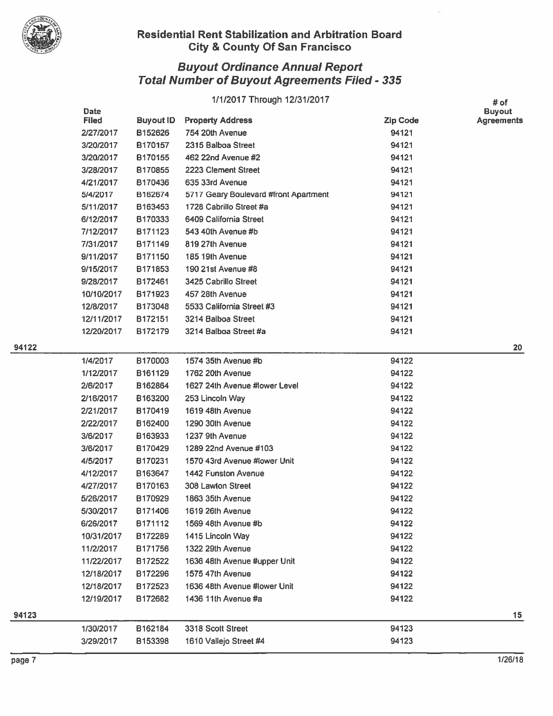

|     | Date         |                  | 1/1/2017 Through 12/31/2017           |                 | # of<br><b>Buyout</b> |
|-----|--------------|------------------|---------------------------------------|-----------------|-----------------------|
|     | <b>Filed</b> | <b>Buyout ID</b> | <b>Property Address</b>               | <b>Zip Code</b> | <b>Agreements</b>     |
|     | 2/27/2017    | B152626          | 754 20th Avenue                       | 94121           |                       |
|     | 3/20/2017    | B170157          | 2315 Balboa Street                    | 94121           |                       |
|     | 3/20/2017    | B170155          | 462 22nd Avenue #2                    | 94121           |                       |
|     | 3/28/2017    | B170855          | 2223 Clement Street                   | 94121           |                       |
|     | 4/21/2017    | B170436          | 635 33rd Avenue                       | 94121           |                       |
|     | 5/4/2017     | B162674          | 5717 Geary Boulevard #front Apartment | 94121           |                       |
|     | 5/11/2017    | B163453          | 1728 Cabrillo Street #a               | 94121           |                       |
|     | 6/12/2017    | B170333          | 6409 California Street                | 94121           |                       |
|     | 7/12/2017    | B171123          | 543 40th Avenue #b                    | 94121           |                       |
|     | 7/31/2017    | B171149          | 819 27th Avenue                       | 94121           |                       |
|     | 9/11/2017    | B171150          | 185 19th Avenue                       | 94121           |                       |
|     | 9/15/2017    | B171853          | 190 21st Avenue #8                    | 94121           |                       |
|     | 9/28/2017    | B172461          | 3425 Cabrillo Street                  | 94121           |                       |
|     | 10/10/2017   | B171923          | 457 28th Avenue                       | 94121           |                       |
|     | 12/8/2017    | B173048          | 5533 California Street #3             | 94121           |                       |
|     | 12/11/2017   | B172151          | 3214 Balboa Street                    | 94121           |                       |
|     | 12/20/2017   | B172179          | 3214 Balboa Street #a                 | 94121           |                       |
| 122 |              |                  |                                       |                 | 20                    |
|     | 1/4/2017     | B170003          | 1574 35th Avenue #b                   | 94122           |                       |
|     | 1/12/2017    | B161129          | 1762 20th Avenue                      | 94122           |                       |
|     | 2/6/2017     | B162864          | 1627 24th Avenue #lower Level         | 94122           |                       |
|     | 2/16/2017    | B163200          | 253 Lincoln Way                       | 94122           |                       |
|     | 2/21/2017    | B170419          | 1619 48th Avenue                      | 94122           |                       |
|     | 2/22/2017    | B162400          | 1290 30th Avenue                      | 94122           |                       |
|     | 3/6/2017     | B163933          | 1237 9th Avenue                       | 94122           |                       |
|     | 3/6/2017     | B170429          | 1289 22nd Avenue #103                 | 94122           |                       |
|     | 4/5/2017     | B170231          | 1570 43rd Avenue #lower Unit          | 94122           |                       |
|     | 4/12/2017    | B163647          | <b>1442 Funston Avenue</b>            | 94122           |                       |
|     | 4/27/2017    | B170163          | 308 Lawton Street                     | 94122           |                       |
|     | 5/26/2017    | B170929          | 1863 35th Avenue                      | 94122           |                       |
|     | 5/30/2017    | B171406          | 1619 26th Avenue                      | 94122           |                       |
|     | 6/26/2017    | B171112          | 1569 48th Avenue #b                   | 94122           |                       |
|     | 10/31/2017   | B172289          | 1415 Lincoln Way                      | 94122           |                       |
|     | 11/2/2017    | B171756          | 1322 29th Avenue                      | 94122           |                       |
|     | 11/22/2017   | B172522          | 1636 48th Avenue #upper Unit          | 94122           |                       |
|     | 12/18/2017   | B172296          | 1575 47th Avenue                      | 94122           |                       |
|     | 12/18/2017   | B172523          | 1636 48th Avenue #lower Unit          | 94122           |                       |
|     | 12/19/2017   | B172682          | 1436 11th Avenue #a                   | 94122           |                       |
| 123 |              |                  |                                       |                 | 15                    |
|     | 1/30/2017    | B162184          | 3318 Scott Street                     | 94123           |                       |
|     | 3/29/2017    | B153398          | 1610 Vallejo Street #4                | 94123           |                       |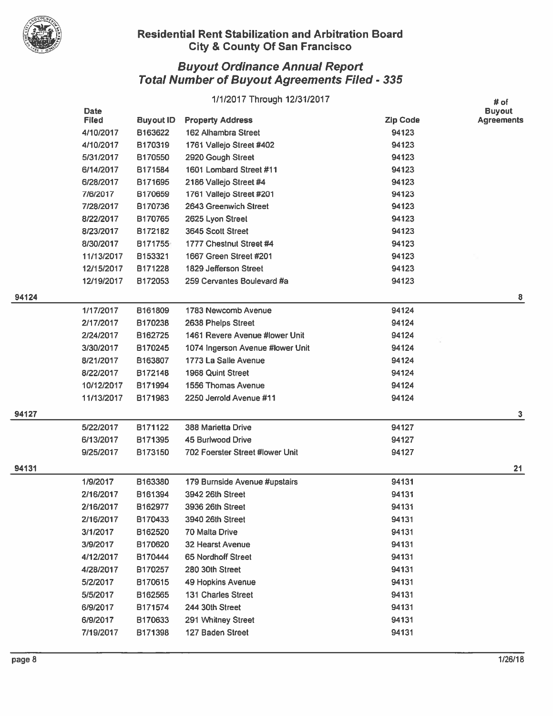

|       |                             |                  | 1/1/2017 Through 12/31/2017      |                 | # of                               |
|-------|-----------------------------|------------------|----------------------------------|-----------------|------------------------------------|
|       | <b>Date</b><br><b>Filed</b> | <b>Buyout ID</b> | <b>Property Address</b>          | <b>Zip Code</b> | <b>Buyout</b><br><b>Agreements</b> |
|       | 4/10/2017                   | B163622          | 162 Alhambra Street              | 94123           |                                    |
|       | 4/10/2017                   | B170319          | 1761 Vallejo Street #402         | 94123           |                                    |
|       | 5/31/2017                   | B170550          | 2920 Gough Street                | 94123           |                                    |
|       | 6/14/2017                   | B171584          | 1601 Lombard Street #11          | 94123           |                                    |
|       | 6/28/2017                   | B171695          | 2186 Vallejo Street #4           | 94123           |                                    |
|       | 7/6/2017                    | B170659          | 1761 Vallejo Street #201         | 94123           |                                    |
|       | 7/28/2017                   | B170736          | 2643 Greenwich Street            | 94123           |                                    |
|       | 8/22/2017                   | B170765          | 2625 Lyon Street                 | 94123           |                                    |
|       | 8/23/2017                   | B172182          | 3645 Scott Street                | 94123           |                                    |
|       | 8/30/2017                   | B171755          | 1777 Chestnut Street #4          | 94123           |                                    |
|       | 11/13/2017                  | B153321          | 1667 Green Street #201           | 94123           |                                    |
|       | 12/15/2017                  | B171228          | 1829 Jefferson Street            | 94123           |                                    |
|       | 12/19/2017                  | B172053          | 259 Cervantes Boulevard #a       | 94123           |                                    |
| 94124 |                             |                  |                                  |                 | 8                                  |
|       | 1/17/2017                   | B161809          | 1783 Newcomb Avenue              | 94124           |                                    |
|       | 2/17/2017                   | B170238          | 2638 Phelps Street               | 94124           |                                    |
|       | 2/24/2017                   | B162725          | 1461 Revere Avenue #lower Unit   | 94124           |                                    |
|       | 3/30/2017                   | B170245          | 1074 Ingerson Avenue #lower Unit | 94124           |                                    |
|       | 8/21/2017                   | B163807          | 1773 La Salle Avenue             | 94124           |                                    |
|       | 8/22/2017                   | B172148          | 1968 Quint Street                | 94124           |                                    |
|       | 10/12/2017                  | B171994          | 1556 Thomas Avenue               | 94124           |                                    |
|       | 11/13/2017                  | B171983          | 2250 Jerrold Avenue #11          | 94124           |                                    |
| 94127 |                             |                  |                                  |                 | 3                                  |
|       | 5/22/2017                   | B171122          | 388 Marietta Drive               | 94127           |                                    |
|       | 6/13/2017                   | B171395          | 45 Burlwood Drive                | 94127           |                                    |
|       | 9/25/2017                   | B173150          | 702 Foerster Street #lower Unit  | 94127           |                                    |
| 94131 |                             |                  |                                  |                 | 21                                 |
|       | 1/9/2017                    | B163380          | 179 Burnside Avenue #upstairs    | 94131           |                                    |
|       | 2/16/2017                   | B161394          | 3942 26th Street                 | 94131           |                                    |
|       | 2/16/2017                   | B162977          | 3936 26th Street                 | 94131           |                                    |
|       | 2/16/2017                   | B170433          | 3940 26th Street                 | 94131           |                                    |
|       | 3/1/2017                    | B162520          | 70 Malta Drive                   | 94131           |                                    |
|       | 3/9/2017                    | B170620          | 32 Hearst Avenue                 | 94131           |                                    |
|       | 4/12/2017                   | B170444          | 65 Nordhoff Street               | 94131           |                                    |
|       | 4/28/2017                   | B170257          | 280 30th Street                  | 94131           |                                    |
|       | 5/2/2017                    | B170615          | 49 Hopkins Avenue                | 94131           |                                    |
|       | 5/5/2017                    | B162565          | 131 Charles Street               | 94131           |                                    |
|       | 6/9/2017                    | B171574          | 244 30th Street                  | 94131           |                                    |
|       | 6/9/2017                    | B170633          | 291 Whitney Street               | 94131           |                                    |
|       | 7/19/2017                   | B171398          | 127 Baden Street                 | 94131           |                                    |